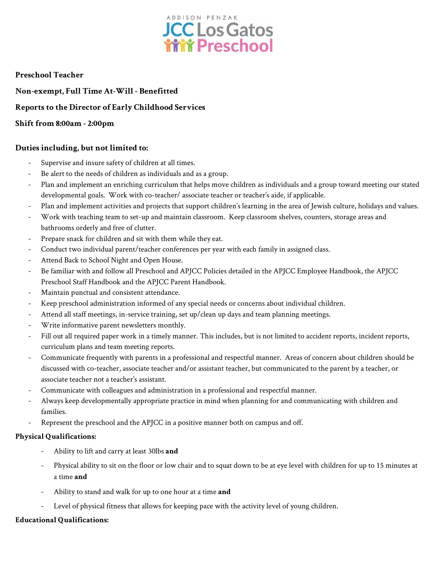

#### **Preschool Teacher**

**Non-exempt, Full Time At-Will - Benefitted Reports to the Director of Early Childhood Services Shift from 8:00am - 2:00pm**

#### **Duties including, but not limited to:**

- Supervise and insure safety of children at all times.
- Be alert to the needs of children as individuals and as a group.
- Plan and implement an enriching curriculum that helps move children as individuals and a group toward meeting our stated developmental goals. Work with co-teacher/ associate teacher or teacher's aide, if applicable.
- Plan and implement activities and projects that support children's learning in the area of Jewish culture, holidays and values.
- Work with teaching team to set-up and maintain classroom. Keep classroom shelves, counters, storage areas and bathrooms orderly and free of clutter.
- Prepare snack for children and sit with them while they eat.
- Conduct two individual parent/teacher conferences per year with each family in assigned class.
- Attend Back to School Night and Open House.
- Be familiar with and follow all Preschool and APJCC Policies detailed in the APJCC Employee Handbook, the APJCC Preschool Staff Handbook and the APJCC Parent Handbook.
- Maintain punctual and consistent attendance.
- Keep preschool administration informed of any special needs or concerns about individual children.
- Attend all staff meetings, in-service training, set up/clean up days and team planning meetings.
- Write informative parent newsletters monthly.
- Fill out all required paper work in a timely manner. This includes, but is not limited to accident reports, incident reports, curriculum plans and team meeting reports.
- Communicate frequently with parents in a professional and respectful manner. Areas of concern about children should be discussed with co-teacher, associate teacher and/or assistant teacher, but communicated to the parent by a teacher, or associate teacher not a teacher's assistant.
- Communicate with colleagues and administration in a professional and respectful manner.
- Always keep developmentally appropriate practice in mind when planning for and communicating with children and families.
- Represent the preschool and the APJCC in a positive manner both on campus and off.

#### **Physical Qualifications:**

- Ability to lift and carry at least 30lbs **and**
- Physical ability to sit on the floor or low chair and to squat down to be at eye level with children for up to 15 minutes at a time **and**
- Ability to stand and walk for up to one hour at a time **and**
- Level of physical fitness that allows for keeping pace with the activity level of young children.

#### **Educational Qualifications:**